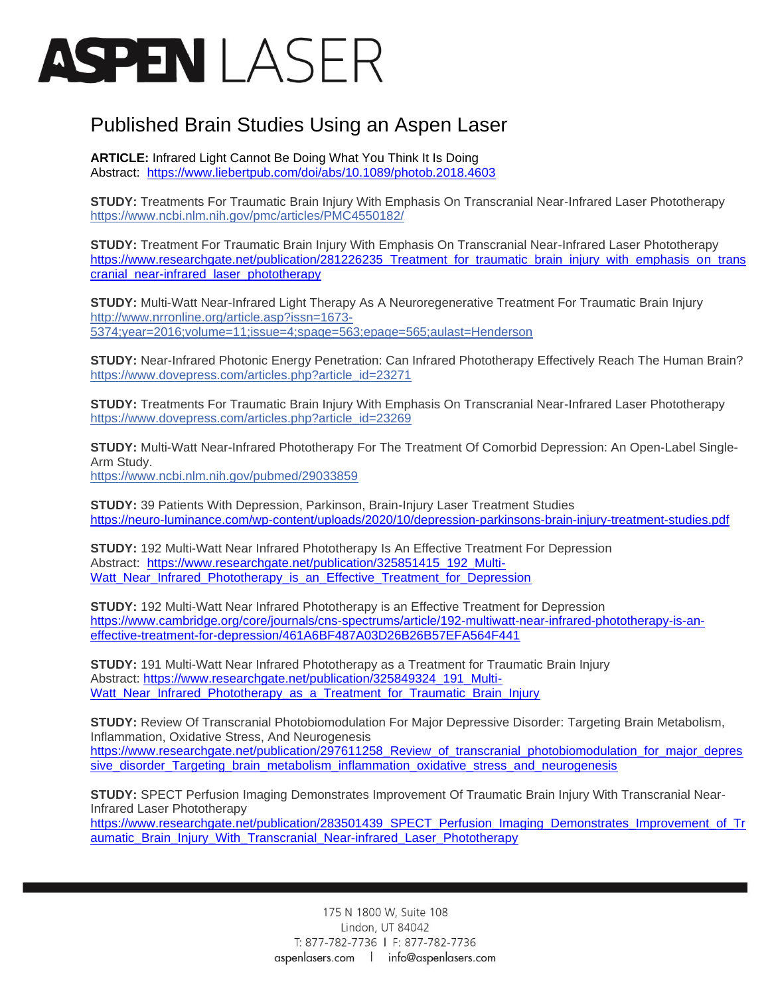## ASPENI ASFR

## Published Brain Studies Using an Aspen Laser

**ARTICLE:** Infrared Light Cannot Be Doing What You Think It Is Doing Abstract: <https://www.liebertpub.com/doi/abs/10.1089/photob.2018.4603>

**STUDY:** Treatments For Traumatic Brain Injury With Emphasis On Transcranial Near-Infrared Laser Phototherapy <https://www.ncbi.nlm.nih.gov/pmc/articles/PMC4550182/>

**STUDY:** Treatment For Traumatic Brain Injury With Emphasis On Transcranial Near-Infrared Laser Phototherapy [https://www.researchgate.net/publication/281226235\\_Treatment\\_for\\_traumatic\\_brain\\_injury\\_with\\_emphasis\\_on\\_trans](https://www.researchgate.net/publication/281226235_Treatment_for_traumatic_brain_injury_with_emphasis_on_transcranial_near-infrared_laser_phototherapy) [cranial\\_near-infrared\\_laser\\_phototherapy](https://www.researchgate.net/publication/281226235_Treatment_for_traumatic_brain_injury_with_emphasis_on_transcranial_near-infrared_laser_phototherapy)

**STUDY:** Multi-Watt Near-Infrared Light Therapy As A Neuroregenerative Treatment For Traumatic Brain Injury [http://www.nrronline.org/article.asp?issn=1673-](http://www.nrronline.org/article.asp?issn=1673-5374;year=2016;volume=11;issue=4;spage=563;epage=565;aulast=Henderson) [5374;year=2016;volume=11;issue=4;spage=563;epage=565;aulast=Henderson](http://www.nrronline.org/article.asp?issn=1673-5374;year=2016;volume=11;issue=4;spage=563;epage=565;aulast=Henderson)

**STUDY:** Near-Infrared Photonic Energy Penetration: Can Infrared Phototherapy Effectively Reach The Human Brain? [https://www.dovepress.com/articles.php?article\\_id=23271](https://www.dovepress.com/articles.php?article_id=23271)

**STUDY:** Treatments For Traumatic Brain Injury With Emphasis On Transcranial Near-Infrared Laser Phototherapy [https://www.dovepress.com/articles.php?article\\_id=23269](https://www.dovepress.com/articles.php?article_id=23269)

**STUDY:** Multi-Watt Near-Infrared Phototherapy For The Treatment Of Comorbid Depression: An Open-Label Single-Arm Study.

<https://www.ncbi.nlm.nih.gov/pubmed/29033859>

**STUDY:** 39 Patients With Depression, Parkinson, Brain-Injury Laser Treatment Studies <https://neuro-luminance.com/wp-content/uploads/2020/10/depression-parkinsons-brain-injury-treatment-studies.pdf>

**STUDY:** 192 Multi-Watt Near Infrared Phototherapy Is An Effective Treatment For Depression Abstract: [https://www.researchgate.net/publication/325851415\\_192\\_Multi-](https://www.researchgate.net/publication/325851415_192_Multi-Watt_Near_Infrared_Phototherapy_is_an_Effective_Treatment_for_Depression)Watt Near Infrared Phototherapy is an Effective Treatment for Depression

**STUDY:** 192 Multi-Watt Near Infrared Phototherapy is an Effective Treatment for Depression [https://www.cambridge.org/core/journals/cns-spectrums/article/192-multiwatt-near-infrared-phototherapy-is-an](https://www.cambridge.org/core/journals/cns-spectrums/article/192-multiwatt-near-infrared-phototherapy-is-an-effective-treatment-for-depression/461A6BF487A03D26B26B57EFA564F441)[effective-treatment-for-depression/461A6BF487A03D26B26B57EFA564F441](https://www.cambridge.org/core/journals/cns-spectrums/article/192-multiwatt-near-infrared-phototherapy-is-an-effective-treatment-for-depression/461A6BF487A03D26B26B57EFA564F441)

**STUDY:** 191 Multi-Watt Near Infrared Phototherapy as a Treatment for Traumatic Brain Injury Abstract: [https://www.researchgate.net/publication/325849324\\_191\\_Multi-](https://www.researchgate.net/publication/325849324_191_Multi-Watt_Near_Infrared_Phototherapy_as_a_Treatment_for_Traumatic_Brain_Injury)Watt Near\_Infrared\_Phototherapy\_as\_a\_Treatment\_for\_Traumatic\_Brain\_Injury

**STUDY:** Review Of Transcranial Photobiomodulation For Major Depressive Disorder: Targeting Brain Metabolism, Inflammation, Oxidative Stress, And Neurogenesis [https://www.researchgate.net/publication/297611258\\_Review\\_of\\_transcranial\\_photobiomodulation\\_for\\_major\\_depres](https://www.researchgate.net/publication/297611258_Review_of_transcranial_photobiomodulation_for_major_depressive_disorder_Targeting_brain_metabolism_inflammation_oxidative_stress_and_neurogenesis) [sive\\_disorder\\_Targeting\\_brain\\_metabolism\\_inflammation\\_oxidative\\_stress\\_and\\_neurogenesis](https://www.researchgate.net/publication/297611258_Review_of_transcranial_photobiomodulation_for_major_depressive_disorder_Targeting_brain_metabolism_inflammation_oxidative_stress_and_neurogenesis)

**STUDY:** SPECT Perfusion Imaging Demonstrates Improvement Of Traumatic Brain Injury With Transcranial Near-Infrared Laser Phototherapy

[https://www.researchgate.net/publication/283501439\\_SPECT\\_Perfusion\\_Imaging\\_Demonstrates\\_Improvement\\_of\\_Tr](https://www.researchgate.net/publication/283501439_SPECT_Perfusion_Imaging_Demonstrates_Improvement_of_Traumatic_Brain_Injury_With_Transcranial_Near-infrared_Laser_Phototherapy) [aumatic\\_Brain\\_Injury\\_With\\_Transcranial\\_Near-infrared\\_Laser\\_Phototherapy](https://www.researchgate.net/publication/283501439_SPECT_Perfusion_Imaging_Demonstrates_Improvement_of_Traumatic_Brain_Injury_With_Transcranial_Near-infrared_Laser_Phototherapy)